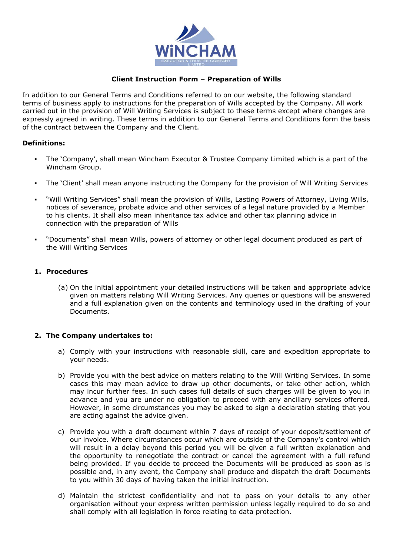

# **Client Instruction Form – Preparation of Wills**

In addition to our General Terms and Conditions referred to on our website, the following standard terms of business apply to instructions for the preparation of Wills accepted by the Company. All work carried out in the provision of Will Writing Services is subject to these terms except where changes are expressly agreed in writing. These terms in addition to our General Terms and Conditions form the basis of the contract between the Company and the Client.

### **Definitions:**

- The 'Company', shall mean Wincham Executor & Trustee Company Limited which is a part of the Wincham Group.
- The 'Client' shall mean anyone instructing the Company for the provision of Will Writing Services
- "Will Writing Services" shall mean the provision of Wills, Lasting Powers of Attorney, Living Wills, notices of severance, probate advice and other services of a legal nature provided by a Member to his clients. It shall also mean inheritance tax advice and other tax planning advice in connection with the preparation of Wills
- "Documents" shall mean Wills, powers of attorney or other legal document produced as part of the Will Writing Services

### **1. Procedures**

(a) On the initial appointment your detailed instructions will be taken and appropriate advice given on matters relating Will Writing Services. Any queries or questions will be answered and a full explanation given on the contents and terminology used in the drafting of your Documents.

### **2. The Company undertakes to:**

- a) Comply with your instructions with reasonable skill, care and expedition appropriate to your needs.
- b) Provide you with the best advice on matters relating to the Will Writing Services. In some cases this may mean advice to draw up other documents, or take other action, which may incur further fees. In such cases full details of such charges will be given to you in advance and you are under no obligation to proceed with any ancillary services offered. However, in some circumstances you may be asked to sign a declaration stating that you are acting against the advice given.
- c) Provide you with a draft document within 7 days of receipt of your deposit/settlement of our invoice. Where circumstances occur which are outside of the Company's control which will result in a delay beyond this period you will be given a full written explanation and the opportunity to renegotiate the contract or cancel the agreement with a full refund being provided. If you decide to proceed the Documents will be produced as soon as is possible and, in any event, the Company shall produce and dispatch the draft Documents to you within 30 days of having taken the initial instruction.
- d) Maintain the strictest confidentiality and not to pass on your details to any other organisation without your express written permission unless legally required to do so and shall comply with all legislation in force relating to data protection.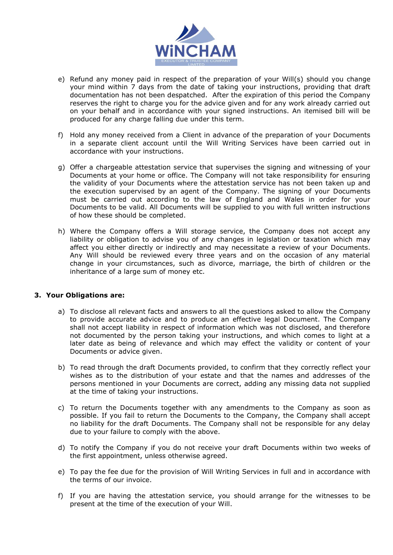

- e) Refund any money paid in respect of the preparation of your Will(s) should you change your mind within 7 days from the date of taking your instructions, providing that draft documentation has not been despatched. After the expiration of this period the Company reserves the right to charge you for the advice given and for any work already carried out on your behalf and in accordance with your signed instructions. An itemised bill will be produced for any charge falling due under this term.
- f) Hold any money received from a Client in advance of the preparation of your Documents in a separate client account until the Will Writing Services have been carried out in accordance with your instructions.
- g) Offer a chargeable attestation service that supervises the signing and witnessing of your Documents at your home or office. The Company will not take responsibility for ensuring the validity of your Documents where the attestation service has not been taken up and the execution supervised by an agent of the Company. The signing of your Documents must be carried out according to the law of England and Wales in order for your Documents to be valid. All Documents will be supplied to you with full written instructions of how these should be completed.
- h) Where the Company offers a Will storage service, the Company does not accept any liability or obligation to advise you of any changes in legislation or taxation which may affect you either directly or indirectly and may necessitate a review of your Documents. Any Will should be reviewed every three years and on the occasion of any material change in your circumstances, such as divorce, marriage, the birth of children or the inheritance of a large sum of money etc.

### **3. Your Obligations are:**

- a) To disclose all relevant facts and answers to all the questions asked to allow the Company to provide accurate advice and to produce an effective legal Document. The Company shall not accept liability in respect of information which was not disclosed, and therefore not documented by the person taking your instructions, and which comes to light at a later date as being of relevance and which may effect the validity or content of your Documents or advice given.
- b) To read through the draft Documents provided, to confirm that they correctly reflect your wishes as to the distribution of your estate and that the names and addresses of the persons mentioned in your Documents are correct, adding any missing data not supplied at the time of taking your instructions.
- c) To return the Documents together with any amendments to the Company as soon as possible. If you fail to return the Documents to the Company, the Company shall accept no liability for the draft Documents. The Company shall not be responsible for any delay due to your failure to comply with the above.
- d) To notify the Company if you do not receive your draft Documents within two weeks of the first appointment, unless otherwise agreed.
- e) To pay the fee due for the provision of Will Writing Services in full and in accordance with the terms of our invoice.
- f) If you are having the attestation service, you should arrange for the witnesses to be present at the time of the execution of your Will.